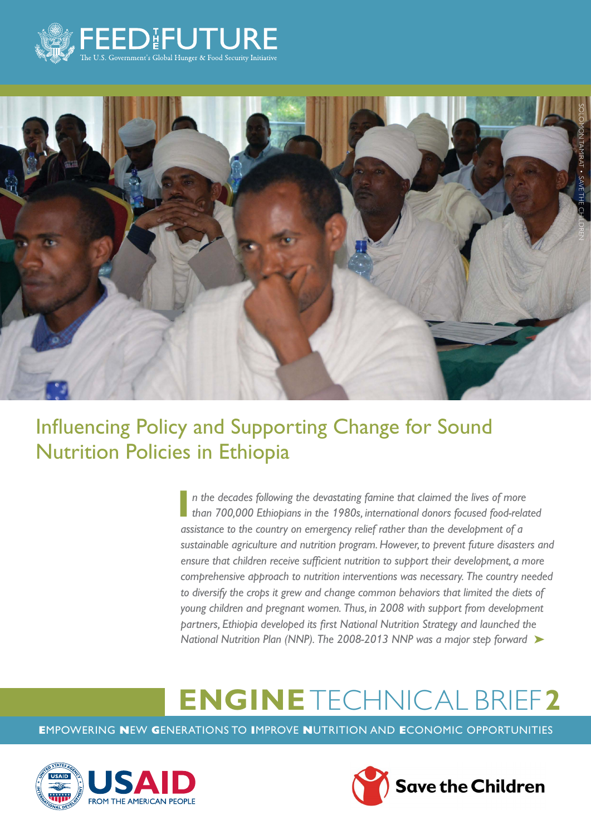



# Influencing Policy and Supporting Change for Sound Nutrition Policies in Ethiopia

**I** *n the decades following the devastating famine that claimed the lives of more than 700,000 Ethiopians in the 1980s, international donors focused food-related assistance to the country on emergency relief rather than the development of a sustainable agriculture and nutrition program. However, to prevent future disasters and ensure that children receive sufficient nutrition to support their development, a more comprehensive approach to nutrition interventions was necessary. The country needed*  to diversify the crops it grew and change common behaviors that limited the diets of *young children and pregnant women. Thus, in 2008 with support from development partners, Ethiopia developed its first National Nutrition Strategy and launched the*  National Nutrition Plan (NNP). The 2008-2013 NNP was a major step forward ▶

# **ENGINE** TECHNICAL BRIEF**2**

**E**MPOWERING **N**EW **G**ENERATIONS TO **I**MPROVE **N**UTRITION AND **E**CONOMIC OPPORTUNITIES



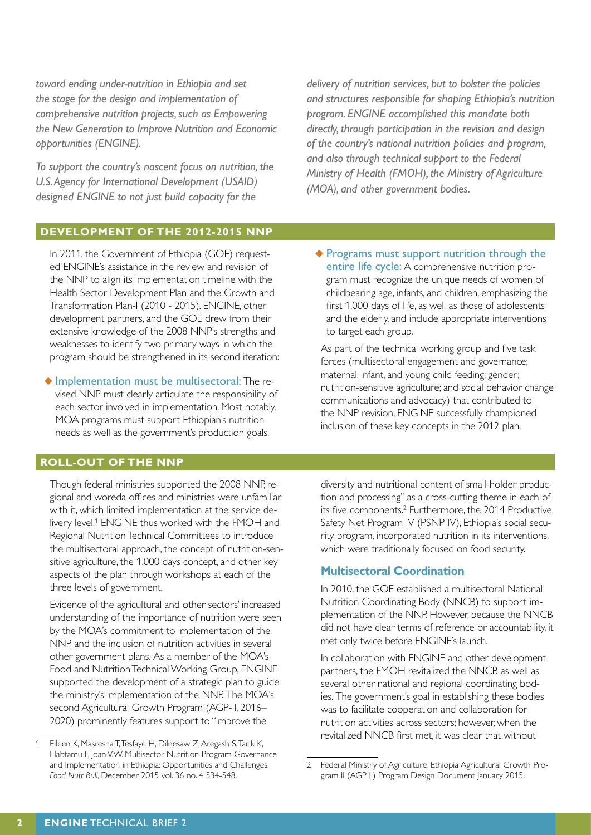*toward ending under-nutrition in Ethiopia and set the stage for the design and implementation of comprehensive nutrition projects, such as Empowering the New Generation to Improve Nutrition and Economic opportunities (ENGINE).*

*To support the country's nascent focus on nutrition, the U.S. Agency for International Development (USAID) designed ENGINE to not just build capacity for the* 

*delivery of nutrition services, but to bolster the policies and structures responsible for shaping Ethiopia's nutrition program. ENGINE accomplished this mandate both directly, through participation in the revision and design of the country's national nutrition policies and program, and also through technical support to the Federal Ministry of Health (FMOH), the Ministry of Agriculture (MOA), and other government bodies.*

#### **DEVELOPMENT OF THE 2012-2015 NNP**

In 2011, the Government of Ethiopia (GOE) requested ENGINE's assistance in the review and revision of the NNP to align its implementation timeline with the Health Sector Development Plan and the Growth and Transformation Plan-I (2010 - 2015). ENGINE, other development partners, and the GOE drew from their extensive knowledge of the 2008 NNP's strengths and weaknesses to identify two primary ways in which the program should be strengthened in its second iteration:

◆ Implementation must be multisectoral: The revised NNP must clearly articulate the responsibility of each sector involved in implementation. Most notably, MOA programs must support Ethiopian's nutrition needs as well as the government's production goals.

#### **ROLL-OUT OF THE NNP**

Though federal ministries supported the 2008 NNP, regional and woreda offices and ministries were unfamiliar with it, which limited implementation at the service delivery level.<sup>1</sup> ENGINE thus worked with the FMOH and Regional Nutrition Technical Committees to introduce the multisectoral approach, the concept of nutrition-sensitive agriculture, the 1,000 days concept, and other key aspects of the plan through workshops at each of the three levels of government.

Evidence of the agricultural and other sectors' increased understanding of the importance of nutrition were seen by the MOA's commitment to implementation of the NNP and the inclusion of nutrition activities in several other government plans. As a member of the MOA's Food and Nutrition Technical Working Group, ENGINE supported the development of a strategic plan to guide the ministry's implementation of the NNP. The MOA's second Agricultural Growth Program (AGP-II, 2016– 2020) prominently features support to "improve the

◆ Programs must support nutrition through the entire life cycle: A comprehensive nutrition program must recognize the unique needs of women of childbearing age, infants, and children, emphasizing the first 1,000 days of life, as well as those of adolescents and the elderly, and include appropriate interventions to target each group.

As part of the technical working group and five task forces (multisectoral engagement and governance; maternal, infant, and young child feeding; gender; nutrition-sensitive agriculture; and social behavior change communications and advocacy) that contributed to the NNP revision, ENGINE successfully championed inclusion of these key concepts in the 2012 plan.

diversity and nutritional content of small-holder production and processing" as a cross-cutting theme in each of its five components.<sup>2</sup> Furthermore, the 2014 Productive Safety Net Program IV (PSNP IV), Ethiopia's social security program, incorporated nutrition in its interventions, which were traditionally focused on food security.

#### **Multisectoral Coordination**

In 2010, the GOE established a multisectoral National Nutrition Coordinating Body (NNCB) to support implementation of the NNP. However, because the NNCB did not have clear terms of reference or accountability, it met only twice before ENGINE's launch.

In collaboration with ENGINE and other development partners, the FMOH revitalized the NNCB as well as several other national and regional coordinating bodies. The government's goal in establishing these bodies was to facilitate cooperation and collaboration for nutrition activities across sectors; however, when the revitalized NNCB first met, it was clear that without

<sup>1</sup> Eileen K, Masresha T, Tesfaye H, Dilnesaw Z, Aregash S, Tarik K, Habtamu F, Joan V.W. Multisector Nutrition Program Governance and Implementation in Ethiopia: Opportunities and Challenges. *Food Nutr Bull,* December 2015 vol. 36 no. 4 534-548.

<sup>2</sup> Federal Ministry of Agriculture, Ethiopia Agricultural Growth Program II (AGP II) Program Design Document January 2015.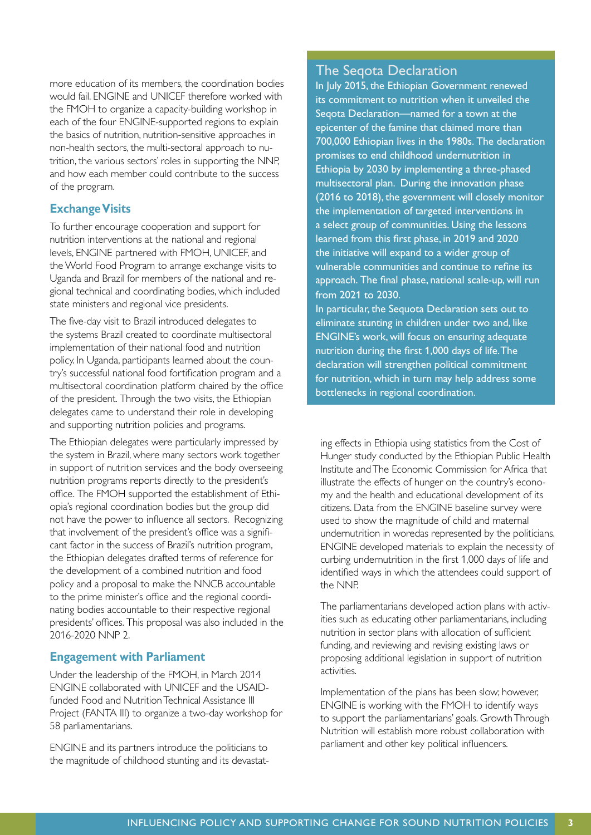more education of its members, the coordination bodies would fail. ENGINE and UNICEF therefore worked with the FMOH to organize a capacity-building workshop in each of the four ENGINE-supported regions to explain the basics of nutrition, nutrition-sensitive approaches in non-health sectors, the multi-sectoral approach to nutrition, the various sectors' roles in supporting the NNP, and how each member could contribute to the success of the program.

#### **Exchange Visits**

To further encourage cooperation and support for nutrition interventions at the national and regional levels, ENGINE partnered with FMOH, UNICEF, and the World Food Program to arrange exchange visits to Uganda and Brazil for members of the national and regional technical and coordinating bodies, which included state ministers and regional vice presidents.

The five-day visit to Brazil introduced delegates to the systems Brazil created to coordinate multisectoral implementation of their national food and nutrition policy. In Uganda, participants learned about the country's successful national food fortification program and a multisectoral coordination platform chaired by the office of the president. Through the two visits, the Ethiopian delegates came to understand their role in developing and supporting nutrition policies and programs.

The Ethiopian delegates were particularly impressed by the system in Brazil, where many sectors work together in support of nutrition services and the body overseeing nutrition programs reports directly to the president's office. The FMOH supported the establishment of Ethiopia's regional coordination bodies but the group did not have the power to influence all sectors. Recognizing that involvement of the president's office was a significant factor in the success of Brazil's nutrition program, the Ethiopian delegates drafted terms of reference for the development of a combined nutrition and food policy and a proposal to make the NNCB accountable to the prime minister's office and the regional coordinating bodies accountable to their respective regional presidents' offices. This proposal was also included in the 2016-2020 NNP 2.

#### **Engagement with Parliament**

Under the leadership of the FMOH, in March 2014 ENGINE collaborated with UNICEF and the USAIDfunded Food and Nutrition Technical Assistance III Project (FANTA III) to organize a two-day workshop for 58 parliamentarians.

ENGINE and its partners introduce the politicians to the magnitude of childhood stunting and its devastat-

### The Seqota Declaration

In July 2015, the Ethiopian Government renewed its commitment to nutrition when it unveiled the Seqota Declaration—named for a town at the epicenter of the famine that claimed more than 700,000 Ethiopian lives in the 1980s. The declaration promises to end childhood undernutrition in Ethiopia by 2030 by implementing a three-phased multisectoral plan. During the innovation phase (2016 to 2018), the government will closely monitor the implementation of targeted interventions in a select group of communities. Using the lessons learned from this first phase, in 2019 and 2020 the initiative will expand to a wider group of vulnerable communities and continue to refine its approach. The final phase, national scale-up, will run from 2021 to 2030.

In particular, the Sequota Declaration sets out to eliminate stunting in children under two and, like ENGINE's work, will focus on ensuring adequate nutrition during the first 1,000 days of life. The declaration will strengthen political commitment for nutrition, which in turn may help address some bottlenecks in regional coordination.

ing effects in Ethiopia using statistics from the Cost of Hunger study conducted by the Ethiopian Public Health Institute and The Economic Commission for Africa that illustrate the effects of hunger on the country's economy and the health and educational development of its citizens. Data from the ENGINE baseline survey were used to show the magnitude of child and maternal undernutrition in woredas represented by the politicians. ENGINE developed materials to explain the necessity of curbing undernutrition in the first 1,000 days of life and identified ways in which the attendees could support of the NNP.

The parliamentarians developed action plans with activities such as educating other parliamentarians, including nutrition in sector plans with allocation of sufficient funding, and reviewing and revising existing laws or proposing additional legislation in support of nutrition activities.

Implementation of the plans has been slow; however, ENGINE is working with the FMOH to identify ways to support the parliamentarians' goals. Growth Through Nutrition will establish more robust collaboration with parliament and other key political influencers.